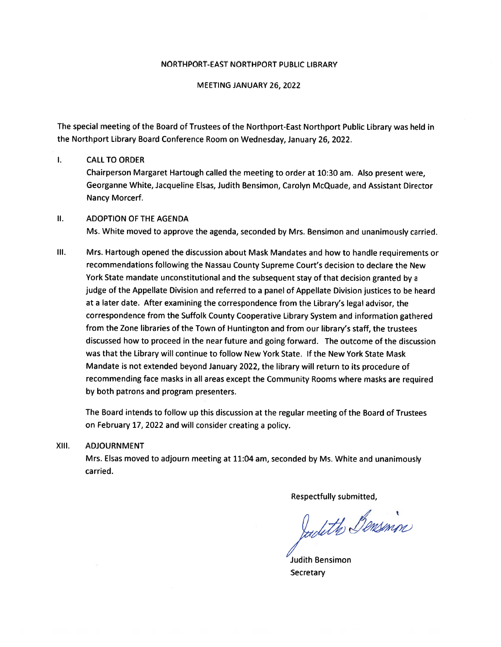#### NORTH PORT-EAST NORTH PORT PUBLIC LIBRARY

MEETING JANUARY 26, 2022

The special meeting of the Board of Trustees of the Northport-East Northport Public Library was held in the Northport Library Board Conference Room on Wednesday, January 26, 2022.

#### $\mathbf{L}$ CALLTO ORDER

Chairperson Margaret Hartough called the meeting to order at 10:30 am. Also presen<sup>t</sup> were, Georganne White, Jacqueline Elsas, Judith Bensimon, Carolyn McQuade, and Assistant Director Nancy Morcerf.

### II. ADOPTION OF THE AGENDA

Ms. White moved to approve the agenda, seconded by Mrs. Bensimon and unanimously carried.

Ill. Mrs. Hartough opene<sup>d</sup> the discussion about Mask Mandates and how to handle requirements or recommendations following the Nassau County Supreme Court's decision to declare the New York State mandate unconstitutional and the subsequent stay of that decision granted by <sup>a</sup> judge of the Appellate Division and referred to <sup>a</sup> pane<sup>l</sup> of Appellate Division justices to be heard at <sup>a</sup> later date. After examining the correspondence from the Library's legal advisor, the correspondence from the Suffolk County Cooperative Library System and information gathered from the Zone libraries of the Town of Huntington and from our library's staff, the trustees discussed how to proceed in the near future and going forward. The outcome of the discussion was that the Library will continue to follow New York State. If the New York State Mask Mandate is not extended beyond January 2022, the library will return to its procedure of recommending face masks in all areas excep<sup>t</sup> the Community Rooms where masks are required by both patrons and program presenters.

The Board intends to follow up this discussion at the regular meeting of the Board of Trustees on February 17, 2022 and will consider creating <sup>a</sup> policy.

#### XIII. ADJOURNMENT

Mrs. Elsas moved to adjourn meeting at 11:04 am, seconded by Ms. White and unanimously carried.

Respectfully submitted,

Judith Bensinin

/ Judith Bensimon **Secretary**